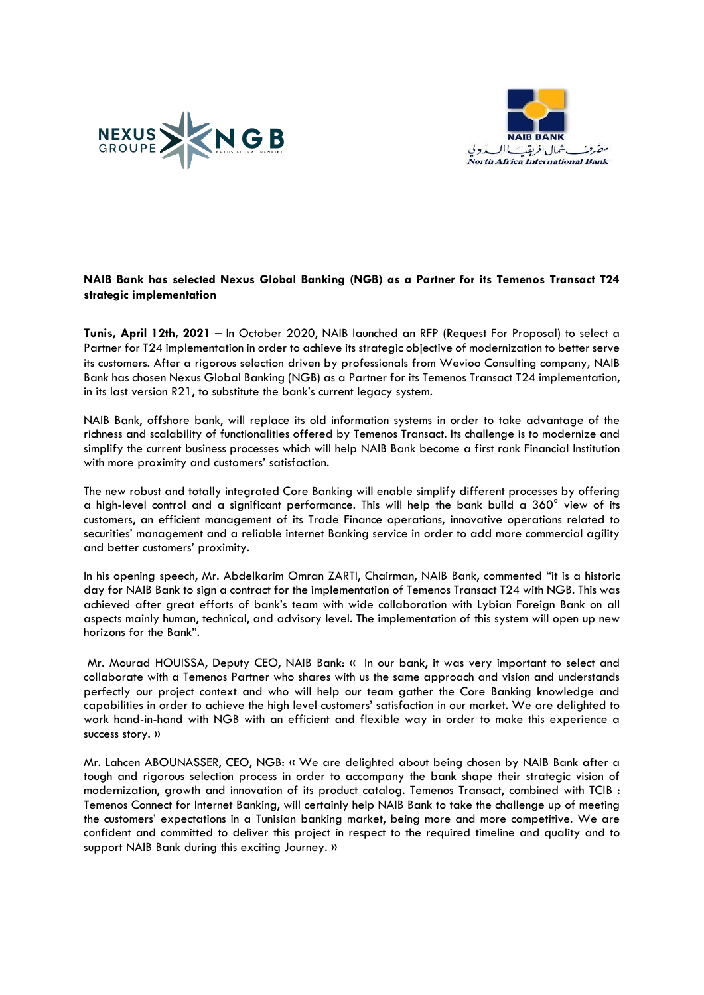



## **NAIB Bank has selected Nexus Global Banking (NGB) as a Partner for its Temenos Transact T24 strategic implementation**

**Tunis, April 12th, 2021** – In October 2020, NAIB launched an RFP (Request For Proposal) to select a Partner for T24 implementation in order to achieve its strategic objective of modernization to better serve its customers. After a rigorous selection driven by professionals from Wevioo Consulting company, NAIB Bank has chosen Nexus Global Banking (NGB) as a Partner for its Temenos Transact T24 implementation, in its last version R21, to substitute the bank's current legacy system.

NAIB Bank, offshore bank, will replace its old information systems in order to take advantage of the richness and scalability of functionalities offered by Temenos Transact. Its challenge is to modernize and simplify the current business processes which will help NAIB Bank become a first rank Financial Institution with more proximity and customers' satisfaction.

The new robust and totally integrated Core Banking will enable simplify different processes by offering a high-level control and a significant performance. This will help the bank build a 360° view of its customers, an efficient management of its Trade Finance operations, innovative operations related to securities' management and a reliable internet Banking service in order to add more commercial agility and better customers' proximity.

In his opening speech, Mr. Abdelkarim Omran ZARTI, Chairman, NAIB Bank, commented "it is a historic day for NAIB Bank to sign a contract for the implementation of Temenos Transact T24 with NGB. This was achieved after great efforts of bank's team with wide collaboration with Lybian Foreign Bank on all aspects mainly human, technical, and advisory level. The implementation of this system will open up new horizons for the Bank".

Mr. Mourad HOUISSA, Deputy CEO, NAIB Bank: « In our bank, it was very important to select and collaborate with a Temenos Partner who shares with us the same approach and vision and understands perfectly our project context and who will help our team gather the Core Banking knowledge and capabilities in order to achieve the high level customers' satisfaction in our market. We are delighted to work hand-in-hand with NGB with an efficient and flexible way in order to make this experience a success story. »

Mr. Lahcen ABOUNASSER, CEO, NGB: « We are delighted about being chosen by NAIB Bank after a tough and rigorous selection process in order to accompany the bank shape their strategic vision of modernization, growth and innovation of its product catalog. Temenos Transact, combined with TCIB : Temenos Connect for Internet Banking, will certainly help NAIB Bank to take the challenge up of meeting the customers' expectations in a Tunisian banking market, being more and more competitive. We are confident and committed to deliver this project in respect to the required timeline and quality and to support NAIB Bank during this exciting Journey. »